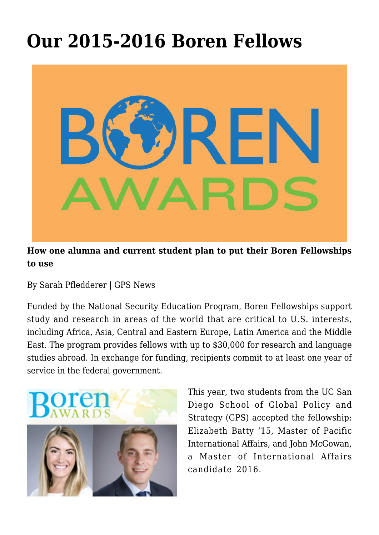## **[Our 2015-2016 Boren Fellows](https://gpsnews.ucsd.edu/story-boren-fellows/)**



## **How one alumna and current student plan to put their Boren Fellowships to use**

By Sarah Pfledderer | GPS News

Funded by the National Security Education Program, Boren Fellowships support study and research in areas of the world that are critical to U.S. interests, including Africa, Asia, Central and Eastern Europe, Latin America and the Middle East. The program provides fellows with up to \$30,000 for research and language studies abroad. In exchange for funding, recipients commit to at least one year of service in the federal government.



This year, two students from the UC San Diego School of Global Policy and Strategy (GPS) accepted the fellowship: Elizabeth Batty '15, Master of Pacific International Affairs, and John McGowan, a Master of International Affairs candidate 2016.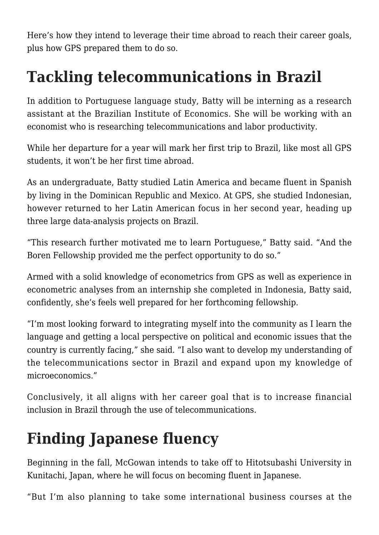Here's how they intend to leverage their time abroad to reach their career goals, plus how GPS prepared them to do so.

## **Tackling telecommunications in Brazil**

In addition to Portuguese language study, Batty will be interning as a research assistant at the Brazilian Institute of Economics. She will be working with an economist who is researching telecommunications and labor productivity.

While her departure for a year will mark her first trip to Brazil, like most all GPS students, it won't be her first time abroad.

As an undergraduate, Batty studied Latin America and became fluent in Spanish by living in the Dominican Republic and Mexico. At GPS, she studied Indonesian, however returned to her Latin American focus in her second year, heading up three large data-analysis projects on Brazil.

"This research further motivated me to learn Portuguese," Batty said. "And the Boren Fellowship provided me the perfect opportunity to do so."

Armed with a solid knowledge of econometrics from GPS as well as experience in econometric analyses from an internship she completed in Indonesia, Batty said, confidently, she's feels well prepared for her forthcoming fellowship.

"I'm most looking forward to integrating myself into the community as I learn the language and getting a local perspective on political and economic issues that the country is currently facing," she said. "I also want to develop my understanding of the telecommunications sector in Brazil and expand upon my knowledge of microeconomics."

Conclusively, it all aligns with her career goal that is to increase financial inclusion in Brazil through the use of telecommunications.

## **Finding Japanese fluency**

Beginning in the fall, McGowan intends to take off to Hitotsubashi University in Kunitachi, Japan, where he will focus on becoming fluent in Japanese.

"But I'm also planning to take some international business courses at the